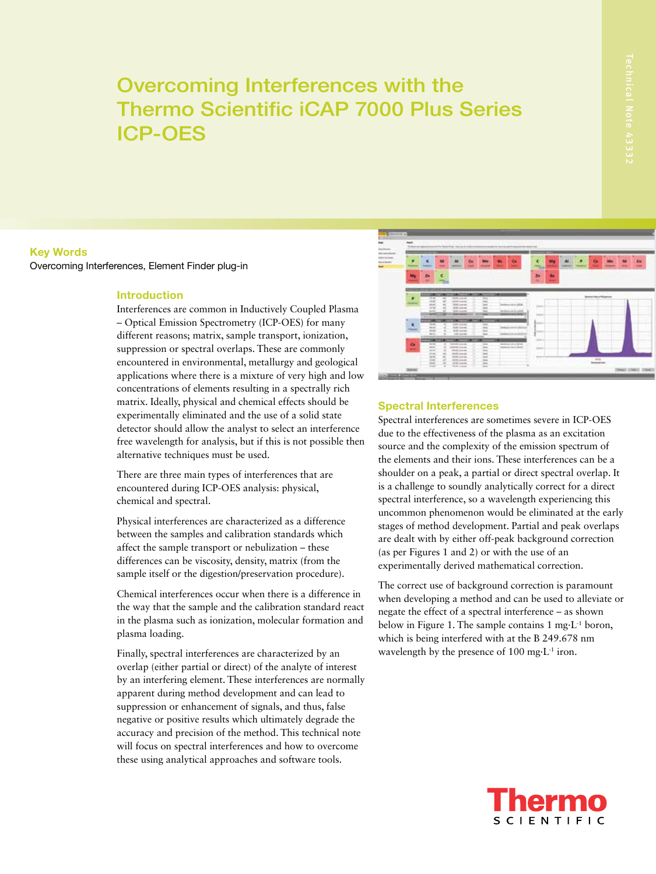# Overcoming Interferences with the Thermo Scientific iCAP 7000 Plus Series ICP-OES

### Key Words Overcoming Interferences, Element Finder plug-in

#### Introduction

Interferences are common in Inductively Coupled Plasma – Optical Emission Spectrometry (ICP-OES) for many different reasons; matrix, sample transport, ionization, suppression or spectral overlaps. These are commonly encountered in environmental, metallurgy and geological applications where there is a mixture of very high and low concentrations of elements resulting in a spectrally rich matrix. Ideally, physical and chemical effects should be experimentally eliminated and the use of a solid state detector should allow the analyst to select an interference free wavelength for analysis, but if this is not possible then alternative techniques must be used.

There are three main types of interferences that are encountered during ICP-OES analysis: physical, chemical and spectral.

Physical interferences are characterized as a difference between the samples and calibration standards which affect the sample transport or nebulization – these differences can be viscosity, density, matrix (from the sample itself or the digestion/preservation procedure).

Chemical interferences occur when there is a difference in the way that the sample and the calibration standard react in the plasma such as ionization, molecular formation and plasma loading.

Finally, spectral interferences are characterized by an overlap (either partial or direct) of the analyte of interest by an interfering element. These interferences are normally apparent during method development and can lead to suppression or enhancement of signals, and thus, false negative or positive results which ultimately degrade the accuracy and precision of the method. This technical note will focus on spectral interferences and how to overcome these using analytical approaches and software tools.



#### Spectral Interferences

Spectral interferences are sometimes severe in ICP-OES due to the effectiveness of the plasma as an excitation source and the complexity of the emission spectrum of the elements and their ions. These interferences can be a shoulder on a peak, a partial or direct spectral overlap. It is a challenge to soundly analytically correct for a direct spectral interference, so a wavelength experiencing this uncommon phenomenon would be eliminated at the early stages of method development. Partial and peak overlaps are dealt with by either off-peak background correction (as per Figures 1 and 2) or with the use of an experimentally derived mathematical correction.

The correct use of background correction is paramount when developing a method and can be used to alleviate or negate the effect of a spectral interference – as shown below in Figure 1. The sample contains 1 mg·L-1 boron, which is being interfered with at the B 249.678 nm wavelength by the presence of  $100 \text{ mg} \cdot L^{-1}$  iron.

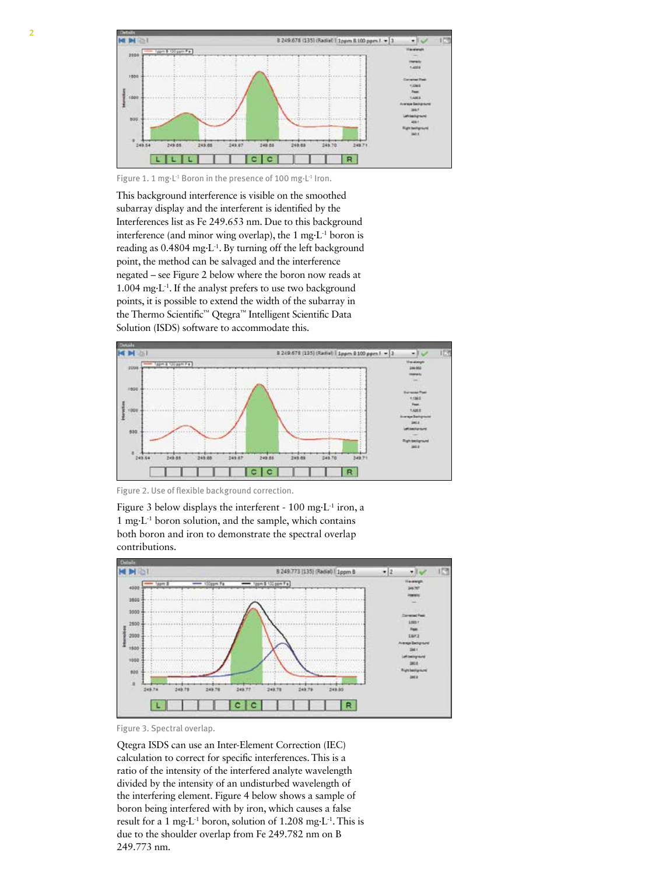

Figure 1. 1 mg·L<sup>-1</sup> Boron in the presence of 100 mg·L<sup>-1</sup> Iron.

This background interference is visible on the smoothed subarray display and the interferent is identified by the Interferences list as Fe 249.653 nm. Due to this background interference (and minor wing overlap), the 1 mg·L-1 boron is reading as 0.4804 mg·L-1. By turning off the left background point, the method can be salvaged and the interference negated – see Figure 2 below where the boron now reads at 1.004 mg·L-1. If the analyst prefers to use two background points, it is possible to extend the width of the subarray in the Thermo Scientific™ Qtegra™ Intelligent Scientific Data Solution (ISDS) software to accommodate this.



Figure 2. Use of flexible background correction.

Figure 3 below displays the interferent - 100 mg·L-1 iron, a 1 mg·L-1 boron solution, and the sample, which contains both boron and iron to demonstrate the spectral overlap contributions.



Figure 3. Spectral overlap.

Qtegra ISDS can use an Inter-Element Correction (IEC) calculation to correct for specific interferences. This is a ratio of the intensity of the interfered analyte wavelength divided by the intensity of an undisturbed wavelength of the interfering element. Figure 4 below shows a sample of boron being interfered with by iron, which causes a false result for a 1 mg·L<sup>-1</sup> boron, solution of 1.208 mg·L<sup>-1</sup>. This is due to the shoulder overlap from Fe 249.782 nm on B 249.773 nm.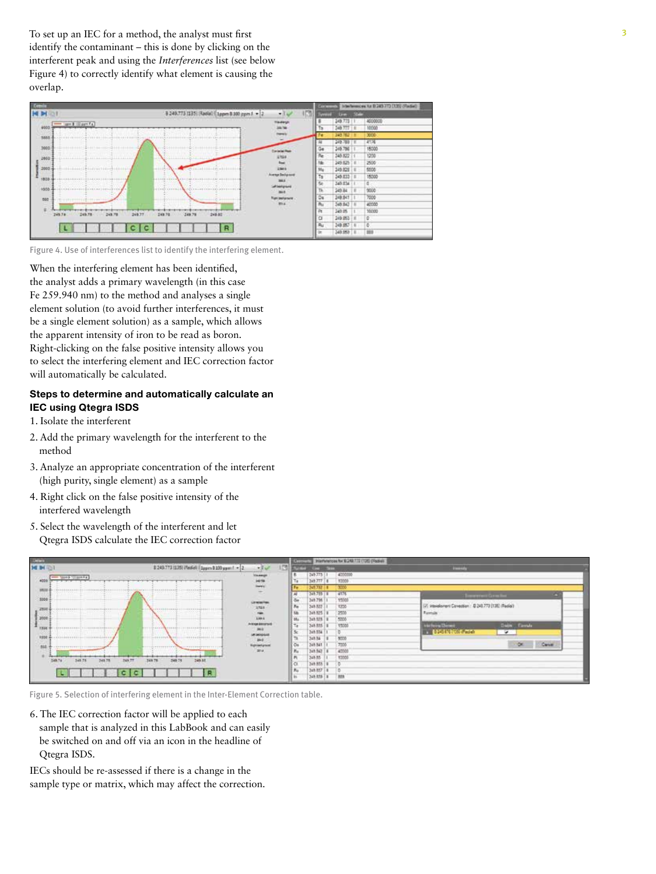To set up an IEC for a method, the analyst must first identify the contaminant – this is done by clicking on the interferent peak and using the *Interferences* list (see below Figure 4) to correctly identify what element is causing the overlap.



Figure 4. Use of interferences list to identify the interfering element.

When the interfering element has been identified, the analyst adds a primary wavelength (in this case Fe 259.940 nm) to the method and analyses a single element solution (to avoid further interferences, it must be a single element solution) as a sample, which allows the apparent intensity of iron to be read as boron. Right-clicking on the false positive intensity allows you to select the interfering element and IEC correction factor will automatically be calculated.

## Steps to determine and automatically calculate an IEC using Qtegra ISDS

- 1. Isolate the interferent
- 2. Add the primary wavelength for the interferent to the method
- 3. Analyze an appropriate concentration of the interferent (high purity, single element) as a sample
- 4. Right click on the false positive intensity of the interfered wavelength
- 5. Select the wavelength of the interferent and let Qtegra ISDS calculate the IEC correction factor



Figure 5. Selection of interfering element in the Inter-Element Correction table.

6. The IEC correction factor will be applied to each sample that is analyzed in this LabBook and can easily be switched on and off via an icon in the headline of Qtegra ISDS.

IECs should be re-assessed if there is a change in the sample type or matrix, which may affect the correction.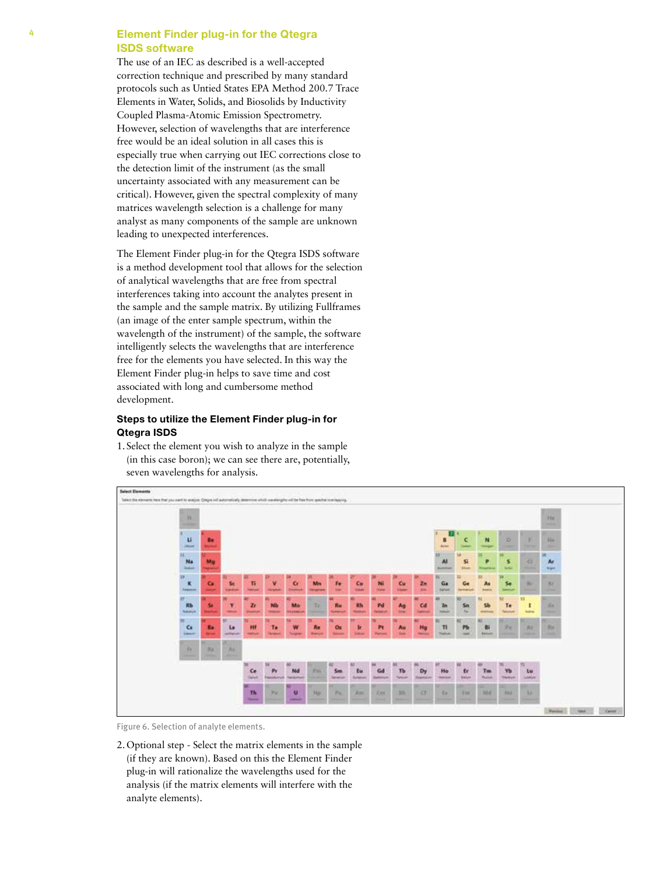## 4 Element Finder plug-in for the Qtegra ISDS software

The use of an IEC as described is a well-accepted correction technique and prescribed by many standard protocols such as Untied States EPA Method 200.7 Trace Elements in Water, Solids, and Biosolids by Inductivity Coupled Plasma-Atomic Emission Spectrometry. However, selection of wavelengths that are interference free would be an ideal solution in all cases this is especially true when carrying out IEC corrections close to the detection limit of the instrument (as the small uncertainty associated with any measurement can be critical). However, given the spectral complexity of many matrices wavelength selection is a challenge for many analyst as many components of the sample are unknown leading to unexpected interferences.

The Element Finder plug-in for the Qtegra ISDS software is a method development tool that allows for the selection of analytical wavelengths that are free from spectral interferences taking into account the analytes present in the sample and the sample matrix. By utilizing Fullframes (an image of the enter sample spectrum, within the wavelength of the instrument) of the sample, the software intelligently selects the wavelengths that are interference free for the elements you have selected. In this way the Element Finder plug-in helps to save time and cost associated with long and cumbersome method development.

## Steps to utilize the Element Finder plug-in for Qtegra ISDS

1. Select the element you wish to analyze in the sample (in this case boron); we can see there are, potentially, seven wavelengths for analysis.



Figure 6. Selection of analyte elements.

2.Optional step - Select the matrix elements in the sample (if they are known). Based on this the Element Finder plug-in will rationalize the wavelengths used for the analysis (if the matrix elements will interfere with the analyte elements).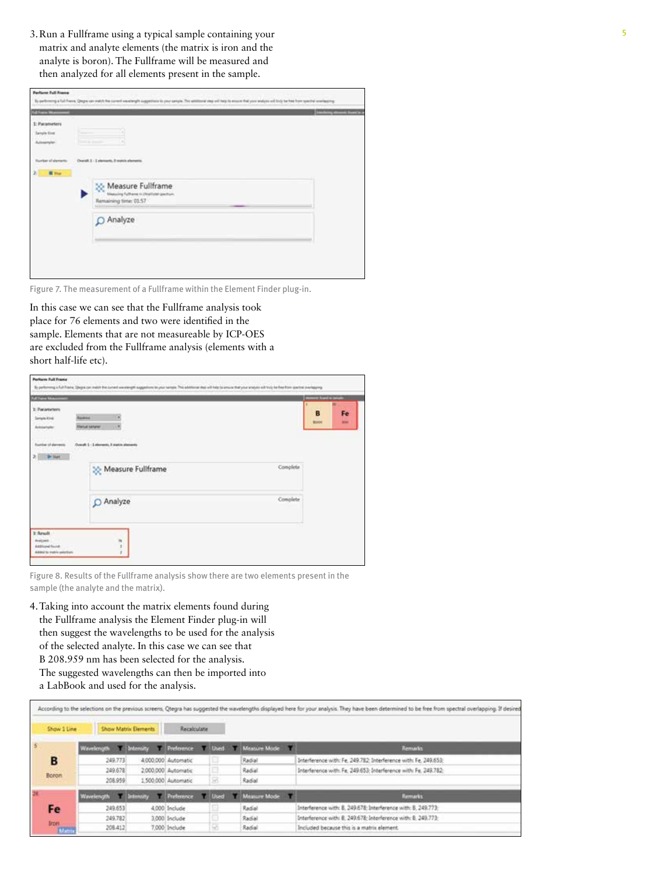3.Run a Fullframe using a typical sample containing your 5 matrix and analyte elements (the matrix is iron and the analyte is boron). The Fullframe will be measured and then analyzed for all elements present in the sample.

| <b>Difference</b><br>-                                                  |                                                                                                                                     | <b>Constanty American State In</b> |
|-------------------------------------------------------------------------|-------------------------------------------------------------------------------------------------------------------------------------|------------------------------------|
| <b>LOUISIANS</b><br>1: Patameters<br><b>Genelle King</b><br>Autosampler |                                                                                                                                     |                                    |
| <b>Runker</b> of demants<br><b>III</b> Shar<br>21                       | Duralt 1 - 1 stampeds, 5 march shements<br>Measure Fullframe<br>Massuing Fullhares in Unsellated gearburn.<br>Remaining time: 01:57 |                                    |
|                                                                         | O Analyze                                                                                                                           |                                    |

Figure 7. The measurement of a Fullframe within the Element Finder plug-in.

In this case we can see that the Fullframe analysis took place for 76 elements and two were identified in the sample. Elements that are not measureable by ICP-OES are excluded from the Fullframe analysis (elements with a short half-life etc).

| <b>Full Lane Street</b>                                               |                                                                    |          | <b>The Li</b>     |                  |
|-----------------------------------------------------------------------|--------------------------------------------------------------------|----------|-------------------|------------------|
| 1: Panaminters<br><b>Simple Kind</b><br>Autosantalen                  | Assess<br><b><i><u>Hanud sanate</u></i></b>                        |          | B<br><b>Birth</b> | Fe<br><b>MAG</b> |
| <b>Sunday of derests</b><br><b>Br Start</b>                           | Overall: L - 3 abovembs, it matrix alternants<br>Measure Fullframe | Complete |                   |                  |
|                                                                       | O Analyze                                                          | Complete |                   |                  |
| 1: Result<br>August.<br>Additional Sound<br>Added to makin selection. | m                                                                  |          |                   |                  |

Figure 8. Results of the Fullframe analysis show there are two elements present in the sample (the analyte and the matrix).

4.Taking into account the matrix elements found during the Fullframe analysis the Element Finder plug-in will then suggest the wavelengths to be used for the analysis of the selected analyte. In this case we can see that B 208.959 nm has been selected for the analysis. The suggested wavelengths can then be imported into a LabBook and used for the analysis.

| Show 1 Line     |                        | <b>Show Matrix Elements</b> | Receiculate         |                 |     |              |                                                                 |
|-----------------|------------------------|-----------------------------|---------------------|-----------------|-----|--------------|-----------------------------------------------------------------|
|                 | Wavelength T Intensity |                             | Preference Used     |                 |     | Meature Mode | <b>Remarks</b>                                                  |
| B               | 249.773                |                             | 4.000.000 Automatic | E               |     | Radial       | Interference with: Fe, 249.782: Interference with: Fe, 249.653: |
| Boron           | 249.678                |                             | 2,000,000 Automatic | o               |     | Radial       | Interference with Fe. 249.653; Interference with: Fe. 249.782;  |
|                 | 208.959                |                             | 1500.000 Automatic  | s               |     | Radial       |                                                                 |
|                 | Wavelength Intensity   |                             | <b>Preference</b>   | <b>TAL Used</b> | . . | Measure Mode | Remarks                                                         |
| Fe i            | 249.653                |                             | 4,000 Include       | e               |     | Radial       | Interference with: 8, 249.678; Interference with: 8, 249.773;   |
|                 | 249.782                |                             | 3.000 Include       | o               |     | Radial       | Interference with: 8. 249.678; Interference with: 8. 249.773;   |
| trom.<br>Matrix | 208.412                |                             | 7.000 Include       | ю               |     | Radial       | Included because this is a matrix element.                      |